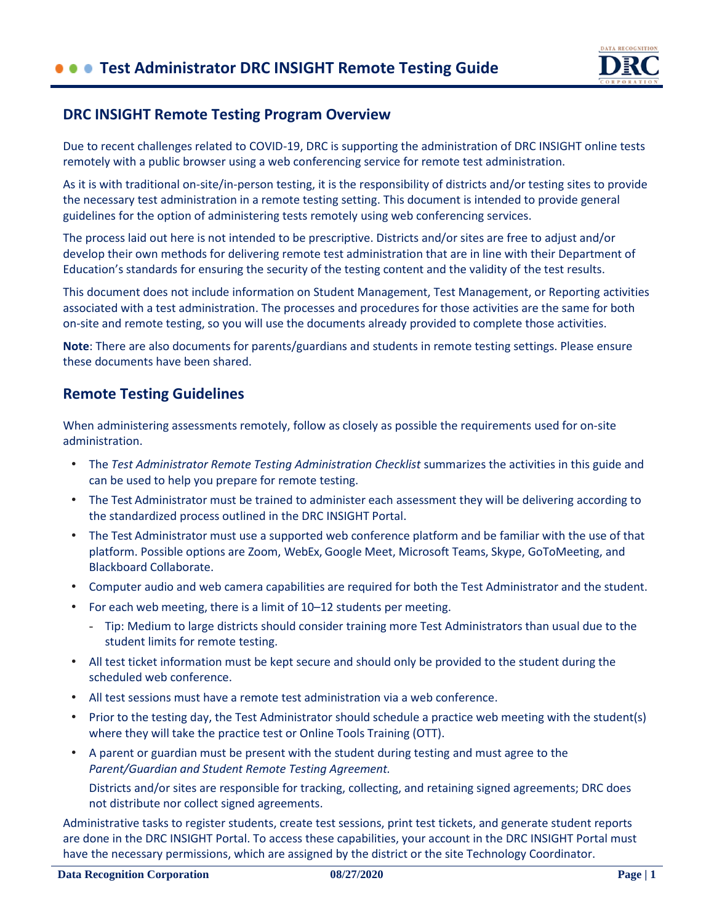

### **DRC INSIGHT Remote Testing Program Overview**

Due to recent challenges related to COVID-19, DRC is supporting the administration of DRC INSIGHT online tests remotely with a public browser using a web conferencing service for remote test administration.

As it is with traditional on-site/in-person testing, it is the responsibility of districts and/or testing sites to provide the necessary test administration in a remote testing setting. This document is intended to provide general guidelines for the option of administering tests remotely using web conferencing services.

The process laid out here is not intended to be prescriptive. Districts and/or sites are free to adjust and/or develop their own methods for delivering remote test administration that are in line with their Department of Education's standards for ensuring the security of the testing content and the validity of the test results.

This document does not include information on Student Management, Test Management, or Reporting activities associated with a test administration. The processes and procedures for those activities are the same for both on-site and remote testing, so you will use the documents already provided to complete those activities.

**Note**: There are also documents for parents/guardians and students in remote testing settings. Please ensure these documents have been shared.

### **Remote Testing Guidelines**

When administering assessments remotely, follow as closely as possible the requirements used for on-site administration.

- The *Test Administrator Remote Testing Administration Checklist* summarizes the activities in this guide and can be used to help you prepare for remote testing.
- The Test Administrator must be trained to administer each assessment they will be delivering according to the standardized process outlined in the DRC INSIGHT Portal.
- The Test Administrator must use a supported web conference platform and be familiar with the use of that platform. Possible options are Zoom, WebEx, Google Meet, Microsoft Teams, Skype, GoToMeeting, and Blackboard Collaborate.
- Computer audio and web camera capabilities are required for both the Test Administrator and the student.
- For each web meeting, there is a limit of 10–12 students per meeting.
	- Tip: Medium to large districts should consider training more Test Administrators than usual due to the student limits for remote testing.
- All test ticket information must be kept secure and should only be provided to the student during the scheduled web conference.
- All test sessions must have a remote test administration via a web conference.
- Prior to the testing day, the Test Administrator should schedule a practice web meeting with the student(s) where they will take the practice test or Online Tools Training (OTT).
- A parent or guardian must be present with the student during testing and must agree to the *Parent/Guardian and Student Remote Testing Agreement.*

Districts and/or sites are responsible for tracking, collecting, and retaining signed agreements; DRC does not distribute nor collect signed agreements.

Administrative tasks to register students, create test sessions, print test tickets, and generate student reports are done in the DRC INSIGHT Portal. To access these capabilities, your account in the DRC INSIGHT Portal must have the necessary permissions, which are assigned by the district or the site Technology Coordinator.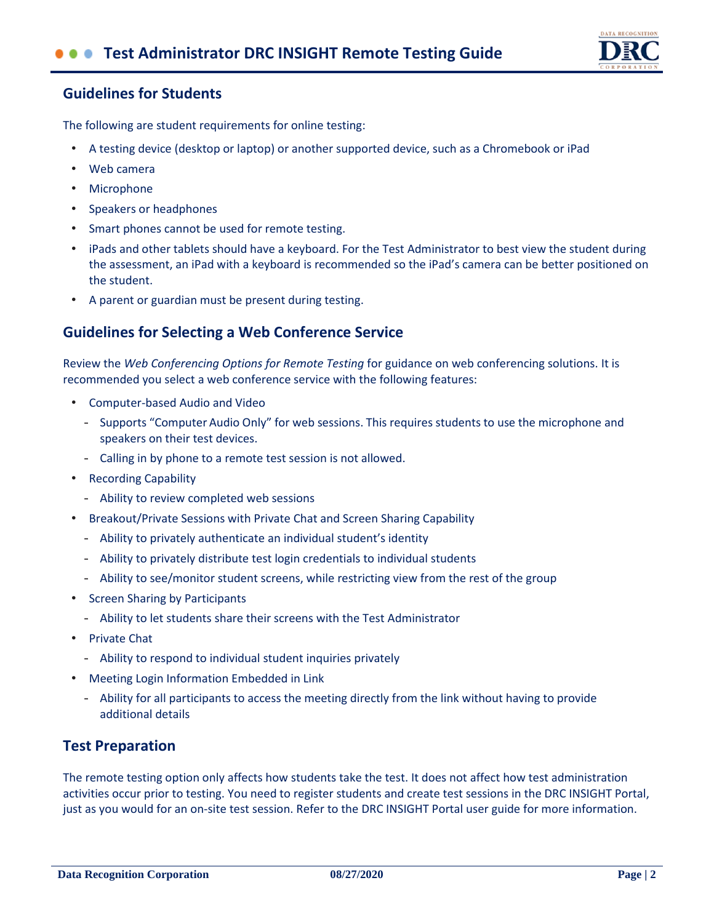

## **Guidelines for Students**

The following are student requirements for online testing:

- A testing device (desktop or laptop) or another supported device, such as a Chromebook or iPad
- Web camera
- Microphone
- Speakers or headphones
- Smart phones cannot be used for remote testing.
- iPads and other tablets should have a keyboard. For the Test Administrator to best view the student during the assessment, an iPad with a keyboard is recommended so the iPad's camera can be better positioned on the student.
- A parent or guardian must be present during testing.

## **Guidelines for Selecting a Web Conference Service**

Review the *Web Conferencing Options for Remote Testing* for guidance on web conferencing solutions. It is recommended you select a web conference service with the following features:

- Computer-based Audio and Video
	- Supports "Computer Audio Only" for web sessions. This requires students to use the microphone and speakers on their test devices.
	- Calling in by phone to a remote test session is not allowed.
- Recording Capability
	- Ability to review completed web sessions
- Breakout/Private Sessions with Private Chat and Screen Sharing Capability
	- Ability to privately authenticate an individual student's identity
	- Ability to privately distribute test login credentials to individual students
	- Ability to see/monitor student screens, while restricting view from the rest of the group
- Screen Sharing by Participants
	- Ability to let students share their screens with the Test Administrator
- Private Chat
	- Ability to respond to individual student inquiries privately
- Meeting Login Information Embedded in Link
	- Ability for all participants to access the meeting directly from the link without having to provide additional details

### **Test Preparation**

The remote testing option only affects how students take the test. It does not affect how test administration activities occur prior to testing. You need to register students and create test sessions in the DRC INSIGHT Portal, just as you would for an on-site test session. Refer to the DRC INSIGHT Portal user guide for more information.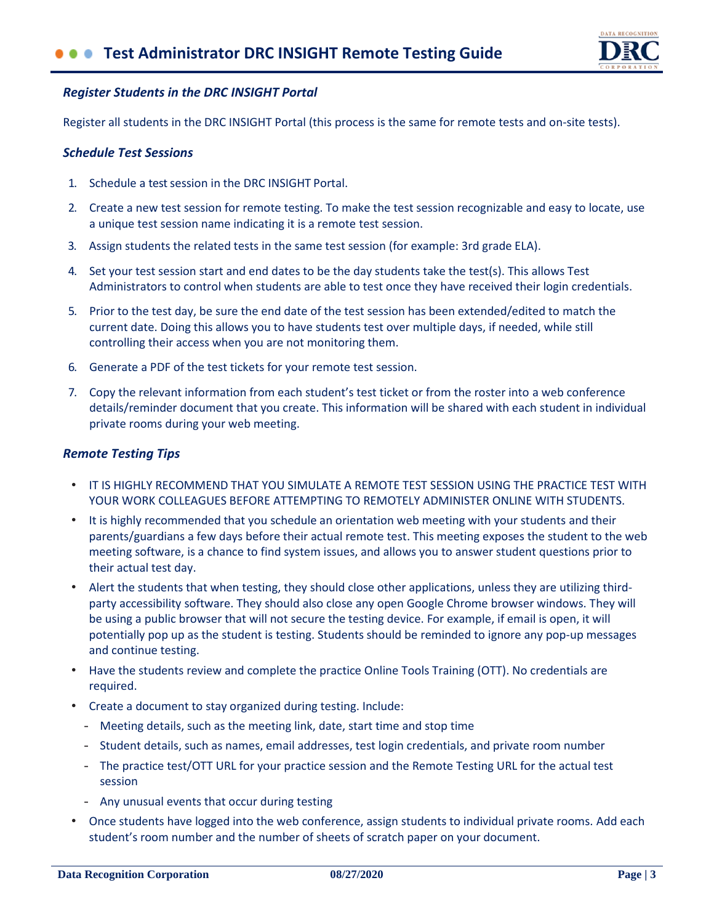

### *Register Students in the DRC INSIGHT Portal*

Register all students in the DRC INSIGHT Portal (this process is the same for remote tests and on-site tests).

#### *Schedule Test Sessions*

- 1. Schedule a test session in the DRC INSIGHT Portal.
- 2. Create a new test session for remote testing. To make the test session recognizable and easy to locate, use a unique test session name indicating it is a remote test session.
- 3. Assign students the related tests in the same test session (for example: 3rd grade ELA).
- 4. Set your test session start and end dates to be the day students take the test(s). This allows Test Administrators to control when students are able to test once they have received their login credentials.
- 5. Prior to the test day, be sure the end date of the test session has been extended/edited to match the current date. Doing this allows you to have students test over multiple days, if needed, while still controlling their access when you are not monitoring them.
- 6. Generate a PDF of the test tickets for your remote test session.
- 7. Copy the relevant information from each student's test ticket or from the roster into a web conference details/reminder document that you create. This information will be shared with each student in individual private rooms during your web meeting.

#### *Remote Testing Tips*

- IT IS HIGHLY RECOMMEND THAT YOU SIMULATE A REMOTE TEST SESSION USING THE PRACTICE TEST WITH YOUR WORK COLLEAGUES BEFORE ATTEMPTING TO REMOTELY ADMINISTER ONLINE WITH STUDENTS.
- It is highly recommended that you schedule an orientation web meeting with your students and their parents/guardians a few days before their actual remote test. This meeting exposes the student to the web meeting software, is a chance to find system issues, and allows you to answer student questions prior to their actual test day.
- Alert the students that when testing, they should close other applications, unless they are utilizing thirdparty accessibility software. They should also close any open Google Chrome browser windows. They will be using a public browser that will not secure the testing device. For example, if email is open, it will potentially pop up as the student is testing. Students should be reminded to ignore any pop-up messages and continue testing.
- Have the students review and complete the practice Online Tools Training (OTT). No credentials are required.
- Create a document to stay organized during testing. Include:
	- Meeting details, such as the meeting link, date, start time and stop time
	- Student details, such as names, email addresses, test login credentials, and private room number
	- The practice test/OTT URL for your practice session and the Remote Testing URL for the actual test session
	- Any unusual events that occur during testing
- Once students have logged into the web conference, assign students to individual private rooms. Add each student's room number and the number of sheets of scratch paper on your document.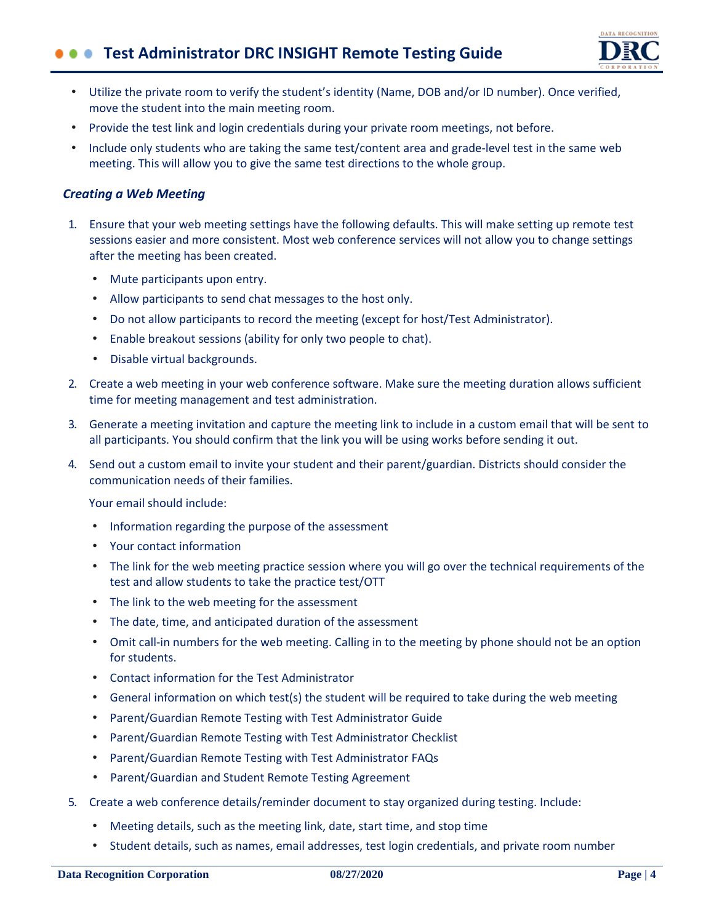# $\bullet \bullet \bullet$  Test Administrator DRC INSIGHT Remote Testing Guide



- Utilize the private room to verify the student's identity (Name, DOB and/or ID number). Once verified, move the student into the main meeting room.
- Provide the test link and login credentials during your private room meetings, not before.
- Include only students who are taking the same test/content area and grade-level test in the same web meeting. This will allow you to give the same test directions to the whole group.

#### *Creating a Web Meeting*

- 1. Ensure that your web meeting settings have the following defaults. This will make setting up remote test sessions easier and more consistent. Most web conference services will not allow you to change settings after the meeting has been created.
	- Mute participants upon entry.
	- Allow participants to send chat messages to the host only.
	- Do not allow participants to record the meeting (except for host/Test Administrator).
	- Enable breakout sessions (ability for only two people to chat).
	- Disable virtual backgrounds.
- 2. Create a web meeting in your web conference software. Make sure the meeting duration allows sufficient time for meeting management and test administration.
- 3. Generate a meeting invitation and capture the meeting link to include in a custom email that will be sent to all participants. You should confirm that the link you will be using works before sending it out.
- 4. Send out a custom email to invite your student and their parent/guardian. Districts should consider the communication needs of their families.

Your email should include:

- Information regarding the purpose of the assessment
- Your contact information
- The link for the web meeting practice session where you will go over the technical requirements of the test and allow students to take the practice test/OTT
- The link to the web meeting for the assessment
- The date, time, and anticipated duration of the assessment
- Omit call-in numbers for the web meeting. Calling in to the meeting by phone should not be an option for students.
- Contact information for the Test Administrator
- General information on which test(s) the student will be required to take during the web meeting
- Parent/Guardian Remote Testing with Test Administrator Guide
- Parent/Guardian Remote Testing with Test Administrator Checklist
- Parent/Guardian Remote Testing with Test Administrator FAQs
- Parent/Guardian and Student Remote Testing Agreement
- 5. Create a web conference details/reminder document to stay organized during testing. Include:
	- Meeting details, such as the meeting link, date, start time, and stop time
	- Student details, such as names, email addresses, test login credentials, and private room number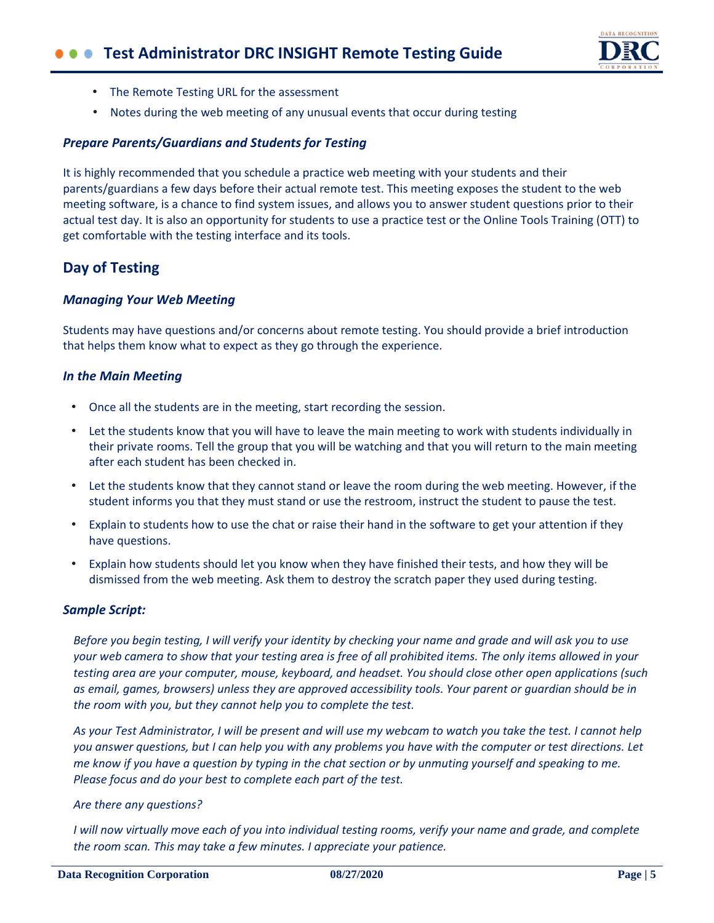# $\bullet \bullet \bullet$  Test Administrator DRC INSIGHT Remote Testing Guide



- The Remote Testing URL for the assessment
- Notes during the web meeting of any unusual events that occur during testing

#### *Prepare Parents/Guardians and Students for Testing*

It is highly recommended that you schedule a practice web meeting with your students and their parents/guardians a few days before their actual remote test. This meeting exposes the student to the web meeting software, is a chance to find system issues, and allows you to answer student questions prior to their actual test day. It is also an opportunity for students to use a practice test or the Online Tools Training (OTT) to get comfortable with the testing interface and its tools.

## **Day of Testing**

#### *Managing Your Web Meeting*

Students may have questions and/or concerns about remote testing. You should provide a brief introduction that helps them know what to expect as they go through the experience.

#### *In the Main Meeting*

- Once all the students are in the meeting, start recording the session.
- Let the students know that you will have to leave the main meeting to work with students individually in their private rooms. Tell the group that you will be watching and that you will return to the main meeting after each student has been checked in.
- Let the students know that they cannot stand or leave the room during the web meeting. However, if the student informs you that they must stand or use the restroom, instruct the student to pause the test.
- Explain to students how to use the chat or raise their hand in the software to get your attention if they have questions.
- Explain how students should let you know when they have finished their tests, and how they will be dismissed from the web meeting. Ask them to destroy the scratch paper they used during testing.

#### *Sample Script:*

*Before you begin testing, I will verify your identity by checking your name and grade and will ask you to use your web camera to show that your testing area is free of all prohibited items. The only items allowed in your testing area are your computer, mouse, keyboard, and headset. You should close other open applications (such as email, games, browsers) unless they are approved accessibility tools. Your parent or guardian should be in the room with you, but they cannot help you to complete the test.*

*As your Test Administrator, I will be present and will use my webcam to watch you take the test. I cannot help you answer questions, but I can help you with any problems you have with the computer or test directions. Let me know if you have a question by typing in the chat section or by unmuting yourself and speaking to me. Please focus and do your best to complete each part of the test.*

#### *Are there any questions?*

*I will now virtually move each of you into individual testing rooms, verify your name and grade, and complete the room scan. This may take a few minutes. I appreciate your patience.*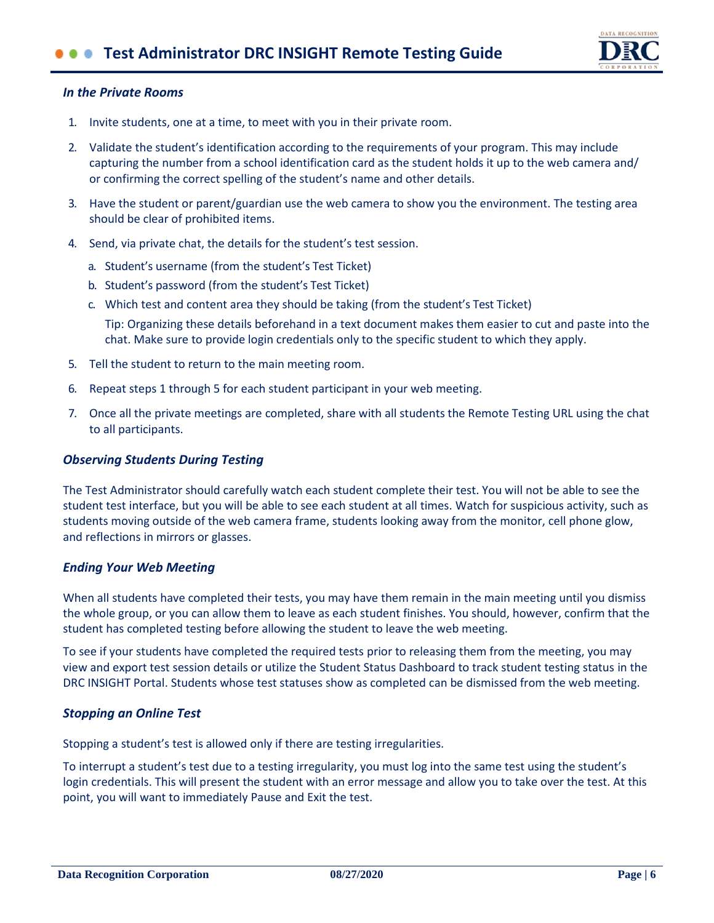# **CO** Test Administrator DRC INSIGHT Remote Testing Guide



#### *In the Private Rooms*

- 1. Invite students, one at a time, to meet with you in their private room.
- 2. Validate the student's identification according to the requirements of your program. This may include capturing the number from a school identification card as the student holds it up to the web camera and/ or confirming the correct spelling of the student's name and other details.
- 3. Have the student or parent/guardian use the web camera to show you the environment. The testing area should be clear of prohibited items.
- 4. Send, via private chat, the details for the student's test session.
	- a. Student's username (from the student's Test Ticket)
	- b. Student's password (from the student's Test Ticket)
	- c. Which test and content area they should be taking (from the student's Test Ticket) Tip: Organizing these details beforehand in a text document makes them easier to cut and paste into the chat. Make sure to provide login credentials only to the specific student to which they apply.
- 5. Tell the student to return to the main meeting room.
- 6. Repeat steps 1 through 5 for each student participant in your web meeting.
- 7. Once all the private meetings are completed, share with all students the Remote Testing URL using the chat to all participants.

#### *Observing Students During Testing*

The Test Administrator should carefully watch each student complete their test. You will not be able to see the student test interface, but you will be able to see each student at all times. Watch for suspicious activity, such as students moving outside of the web camera frame, students looking away from the monitor, cell phone glow, and reflections in mirrors or glasses.

#### *Ending Your Web Meeting*

When all students have completed their tests, you may have them remain in the main meeting until you dismiss the whole group, or you can allow them to leave as each student finishes. You should, however, confirm that the student has completed testing before allowing the student to leave the web meeting.

To see if your students have completed the required tests prior to releasing them from the meeting, you may view and export test session details or utilize the Student Status Dashboard to track student testing status in the DRC INSIGHT Portal. Students whose test statuses show as completed can be dismissed from the web meeting.

#### *Stopping an Online Test*

Stopping a student's test is allowed only if there are testing irregularities.

To interrupt a student's test due to a testing irregularity, you must log into the same test using the student's login credentials. This will present the student with an error message and allow you to take over the test. At this point, you will want to immediately Pause and Exit the test.